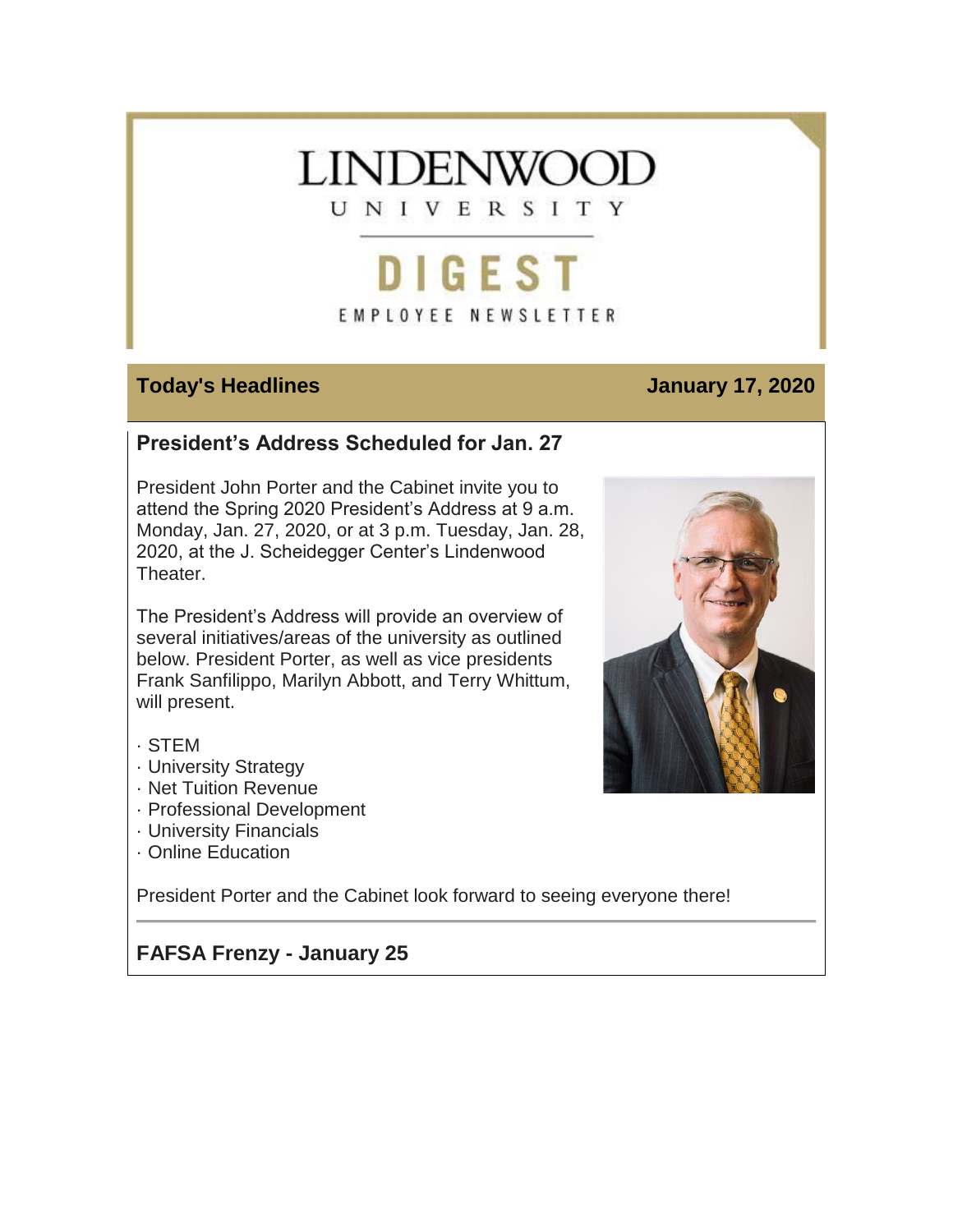# **LINDENWOOT** UNIVERSITY

# DIGEST EMPLOYEE NEWSLETTER

#### **Today's Headlines January 17, 2020**

# **President's Address Scheduled for Jan. 27**

President John Porter and the Cabinet invite you to attend the Spring 2020 President's Address at 9 a.m. Monday, Jan. 27, 2020, or at 3 p.m. Tuesday, Jan. 28, 2020, at the J. Scheidegger Center's Lindenwood Theater.

The President's Address will provide an overview of several initiatives/areas of the university as outlined below. President Porter, as well as vice presidents Frank Sanfilippo, Marilyn Abbott, and Terry Whittum, will present.

- · STEM
- · University Strategy
- · Net Tuition Revenue
- · Professional Development
- · University Financials
- · Online Education

President Porter and the Cabinet look forward to seeing everyone there!

# **FAFSA Frenzy - January 25**

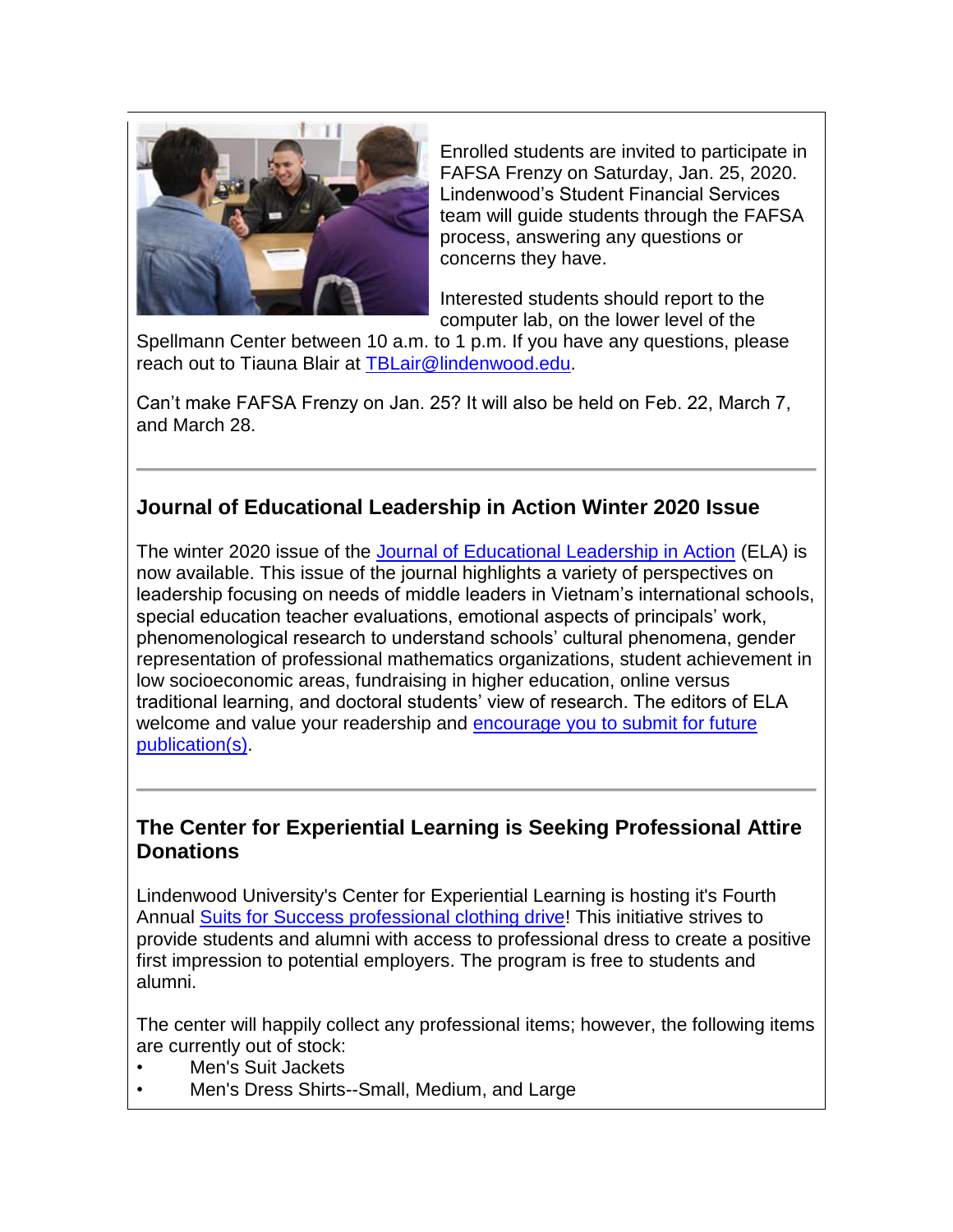

Enrolled students are invited to participate in FAFSA Frenzy on Saturday, Jan. 25, 2020. Lindenwood's Student Financial Services team will guide students through the FAFSA process, answering any questions or concerns they have.

Interested students should report to the computer lab, on the lower level of the

Spellmann Center between 10 a.m. to 1 p.m. If you have any questions, please reach out to Tiauna Blair at [TBLair@lindenwood.edu.](mailto:TBLair@lindenwood.edu)

Can't make FAFSA Frenzy on Jan. 25? It will also be held on Feb. 22, March 7, and March 28.

# **Journal of Educational Leadership in Action Winter 2020 Issue**

The winter 2020 issue of the [Journal of Educational Leadership in Action](https://hes32-ctp.trendmicro.com/wis/clicktime/v1/query?url=https%3a%2f%2fcustapp.marketvolt.com%2flink%2fF8RAgAkTr4%3fCM%3d1450150654%26X%3d70525052&umid=0b7a9669-2da6-45d9-8172-72a20eacd6f4&auth=bc7ac43e330fa629f0cfb11786c85e83c10d06b8-061db805948bccc1cdaefe730ba4186abf7275d4) (ELA) is now available. This issue of the journal highlights a variety of perspectives on leadership focusing on needs of middle leaders in Vietnam's international schools, special education teacher evaluations, emotional aspects of principals' work, phenomenological research to understand schools' cultural phenomena, gender representation of professional mathematics organizations, student achievement in low socioeconomic areas, fundraising in higher education, online versus traditional learning, and doctoral students' view of research. The editors of ELA welcome and value your readership and [encourage you to submit for future](https://hes32-ctp.trendmicro.com/wis/clicktime/v1/query?url=https%3a%2f%2fcustapp.marketvolt.com%2flink%2fXwItGfzmtr%3fCM%3d1450150654%26X%3d70525052&umid=0b7a9669-2da6-45d9-8172-72a20eacd6f4&auth=bc7ac43e330fa629f0cfb11786c85e83c10d06b8-36f935051886d19c42d25a93702ca048d2eac2ce)  [publication\(s\).](https://hes32-ctp.trendmicro.com/wis/clicktime/v1/query?url=https%3a%2f%2fcustapp.marketvolt.com%2flink%2fXwItGfzmtr%3fCM%3d1450150654%26X%3d70525052&umid=0b7a9669-2da6-45d9-8172-72a20eacd6f4&auth=bc7ac43e330fa629f0cfb11786c85e83c10d06b8-36f935051886d19c42d25a93702ca048d2eac2ce)

#### **The Center for Experiential Learning is Seeking Professional Attire Donations**

Lindenwood University's Center for Experiential Learning is hosting it's Fourth Annual [Suits for Success professional clothing drive!](https://hes32-ctp.trendmicro.com/wis/clicktime/v1/query?url=https%3a%2f%2fcustapp.marketvolt.com%2flink%2fGUMHXbt62Z%3fCM%3d1450150654%26X%3d70525052&umid=0b7a9669-2da6-45d9-8172-72a20eacd6f4&auth=bc7ac43e330fa629f0cfb11786c85e83c10d06b8-bf942f8479496c97b0006b848552ac8435364c13) This initiative strives to provide students and alumni with access to professional dress to create a positive first impression to potential employers. The program is free to students and alumni.

The center will happily collect any professional items; however, the following items are currently out of stock:

- Men's Suit Jackets
- Men's Dress Shirts--Small, Medium, and Large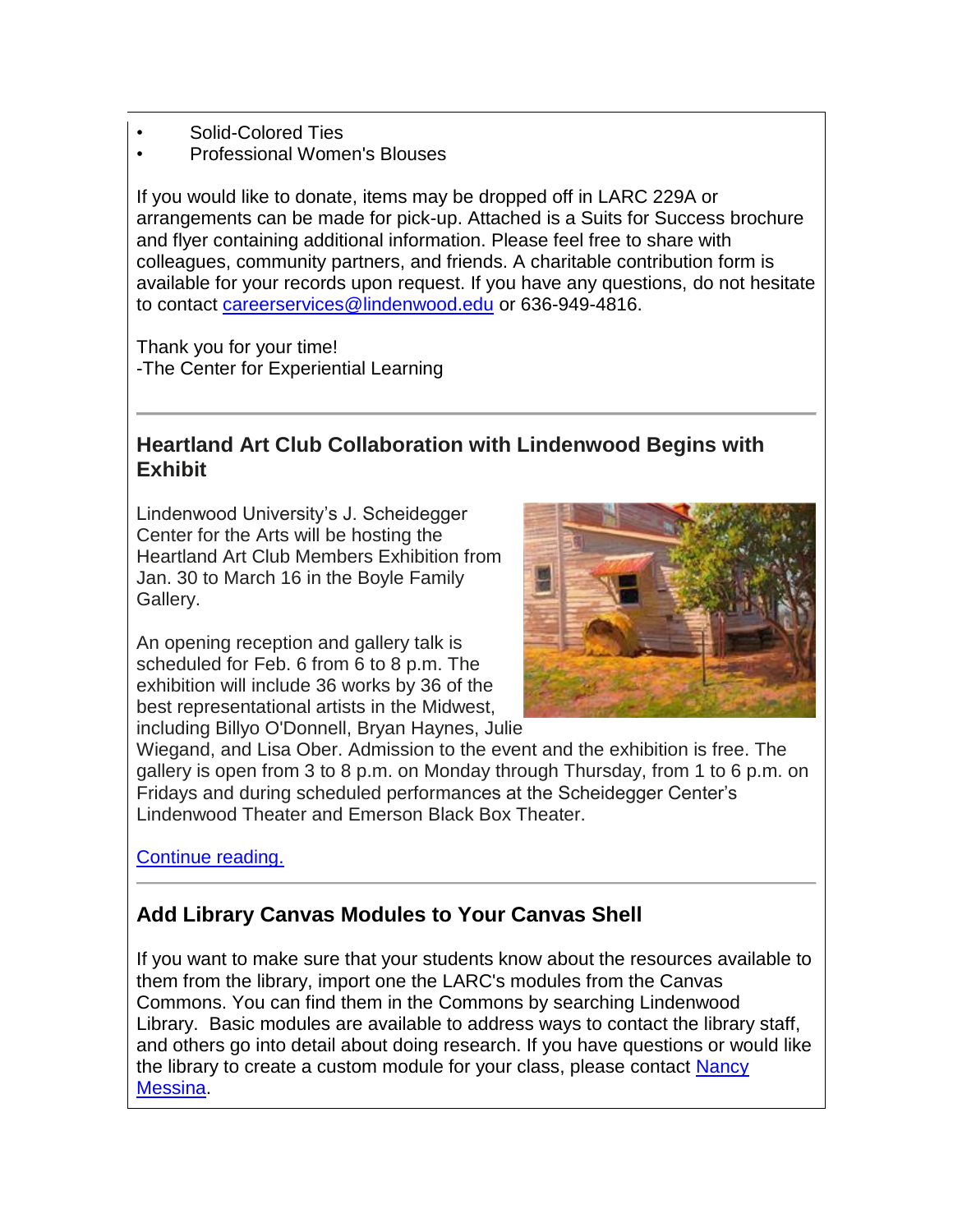- Solid-Colored Ties
- Professional Women's Blouses

If you would like to donate, items may be dropped off in LARC 229A or arrangements can be made for pick-up. Attached is a Suits for Success brochure and flyer containing additional information. Please feel free to share with colleagues, community partners, and friends. A charitable contribution form is available for your records upon request. If you have any questions, do not hesitate to contact [careerservices@lindenwood.edu](mailto:careerservices@lindenwood.edu) or 636-949-4816.

Thank you for your time! -The Center for Experiential Learning

# **Heartland Art Club Collaboration with Lindenwood Begins with Exhibit**

Lindenwood University's J. Scheidegger Center for the Arts will be hosting the Heartland Art Club Members Exhibition from Jan. 30 to March 16 in the Boyle Family Gallery.

An opening reception and gallery talk is scheduled for Feb. 6 from 6 to 8 p.m. The exhibition will include 36 works by 36 of the best representational artists in the Midwest, including Billyo O'Donnell, Bryan Haynes, Julie



Wiegand, and Lisa Ober. Admission to the event and the exhibition is free. The gallery is open from 3 to 8 p.m. on Monday through Thursday, from 1 to 6 p.m. on Fridays and during scheduled performances at the Scheidegger Center's Lindenwood Theater and Emerson Black Box Theater.

[Continue reading.](https://hes32-ctp.trendmicro.com/wis/clicktime/v1/query?url=https%3a%2f%2fcustapp.marketvolt.com%2flink%2f5r7bZyLe9L%3fCM%3d1450150654%26X%3d70525052&umid=0b7a9669-2da6-45d9-8172-72a20eacd6f4&auth=bc7ac43e330fa629f0cfb11786c85e83c10d06b8-5510fd50e9586497be982f829472fb7b236d2347)

# **Add Library Canvas Modules to Your Canvas Shell**

If you want to make sure that your students know about the resources available to them from the library, import one the LARC's modules from the Canvas Commons. You can find them in the Commons by searching Lindenwood Library. Basic modules are available to address ways to contact the library staff, and others go into detail about doing research. If you have questions or would like the library to create a custom module for your class, please contact Nancy [Messina.](mailto:nmessina@lindenwood.edu)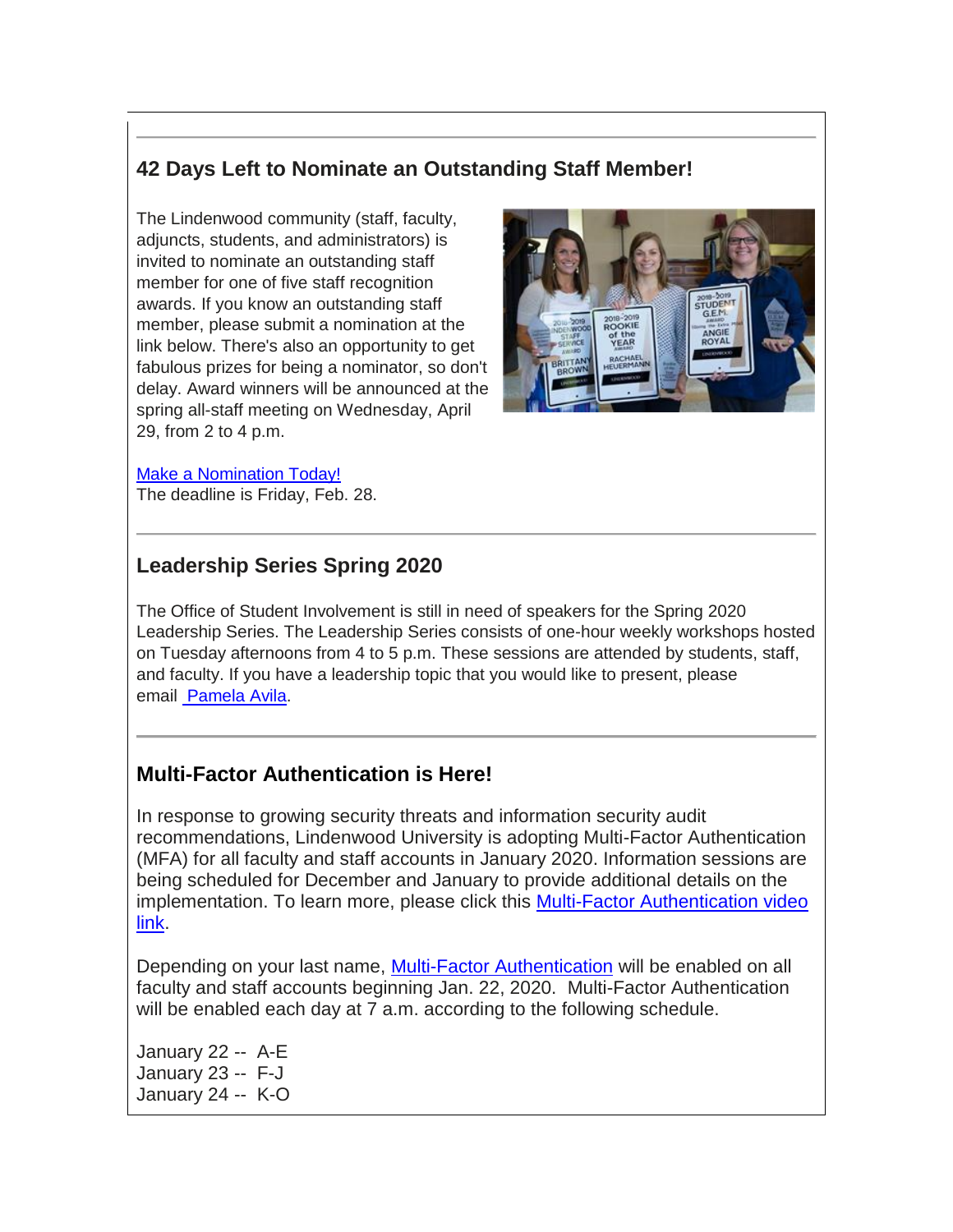## **42 Days Left to Nominate an Outstanding Staff Member!**

The Lindenwood community (staff, faculty, adjuncts, students, and administrators) is invited to nominate an outstanding staff member for one of five staff recognition awards. If you know an outstanding staff member, please submit a nomination at the link below. There's also an opportunity to get fabulous prizes for being a nominator, so don't delay. Award winners will be announced at the spring all-staff meeting on Wednesday, April 29, from 2 to 4 p.m.



#### [Make a Nomination Today!](https://hes32-ctp.trendmicro.com/wis/clicktime/v1/query?url=https%3a%2f%2fcustapp.marketvolt.com%2flink%2fMgik4loCFX%3fCM%3d1450150654%26X%3d70525052&umid=0b7a9669-2da6-45d9-8172-72a20eacd6f4&auth=bc7ac43e330fa629f0cfb11786c85e83c10d06b8-065baed0b8ced4cac1e656d8ed40715b674b111c)

The deadline is Friday, Feb. 28.

### **Leadership Series Spring 2020**

The Office of Student Involvement is still in need of speakers for the Spring 2020 Leadership Series. The Leadership Series consists of one-hour weekly workshops hosted on Tuesday afternoons from 4 to 5 p.m. These sessions are attended by students, staff, and faculty. If you have a leadership topic that you would like to present, please email [Pamela Avila.](mailto:rheuermann@lindenwood.edu)

#### **Multi-Factor Authentication is Here!**

In response to growing security threats and information security audit recommendations, Lindenwood University is adopting Multi-Factor Authentication (MFA) for all faculty and staff accounts in January 2020. Information sessions are being scheduled for December and January to provide additional details on the implementation. To learn more, please click this [Multi-Factor Authentication video](https://hes32-ctp.trendmicro.com/wis/clicktime/v1/query?url=https%3a%2f%2fcustapp.marketvolt.com%2flink%2fh6owhWB6Kt%3fCM%3d1450150654%26X%3d70525052&umid=0b7a9669-2da6-45d9-8172-72a20eacd6f4&auth=bc7ac43e330fa629f0cfb11786c85e83c10d06b8-b2c6997678535b8117bb3d76afb3178c1ac8026a)  [link.](https://hes32-ctp.trendmicro.com/wis/clicktime/v1/query?url=https%3a%2f%2fcustapp.marketvolt.com%2flink%2fh6owhWB6Kt%3fCM%3d1450150654%26X%3d70525052&umid=0b7a9669-2da6-45d9-8172-72a20eacd6f4&auth=bc7ac43e330fa629f0cfb11786c85e83c10d06b8-b2c6997678535b8117bb3d76afb3178c1ac8026a)

Depending on your last name, [Multi-Factor Authentication](https://hes32-ctp.trendmicro.com/wis/clicktime/v1/query?url=https%3a%2f%2fcustapp.marketvolt.com%2flink%2f65fc5mCkpF%3fCM%3d1450150654%26X%3d70525052&umid=0b7a9669-2da6-45d9-8172-72a20eacd6f4&auth=bc7ac43e330fa629f0cfb11786c85e83c10d06b8-b94a51a0ffcd8747af91575cd775a2c7da3ed89c) will be enabled on all faculty and staff accounts beginning Jan. 22, 2020. Multi-Factor Authentication will be enabled each day at 7 a.m. according to the following schedule.

January 22 -- A-E January 23 -- F-J January 24 -- K-O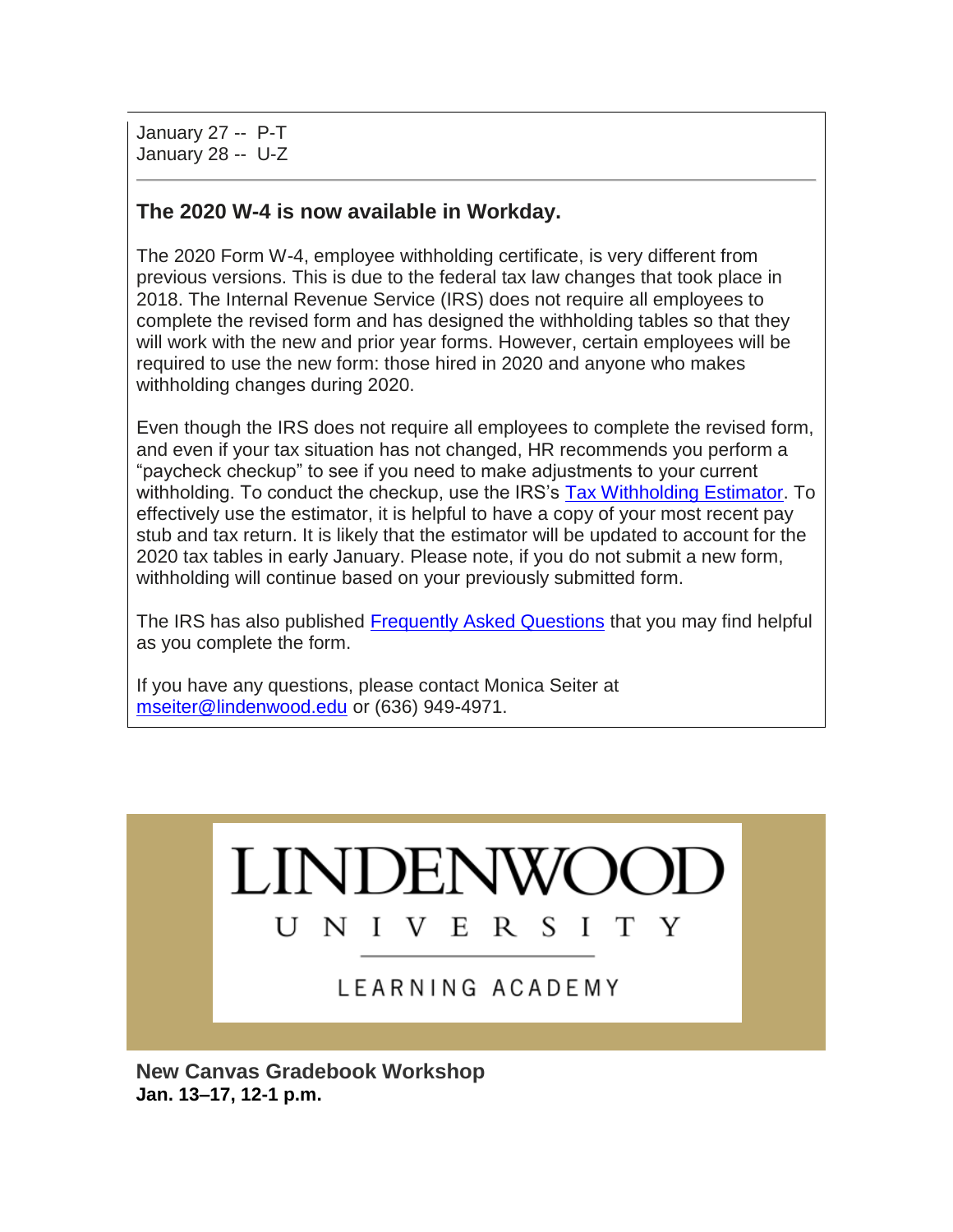January 27 -- P-T January 28 -- U-Z

### **The 2020 W-4 is now available in Workday.**

The 2020 Form W-4, employee withholding certificate, is very different from previous versions. This is due to the federal tax law changes that took place in 2018. The Internal Revenue Service (IRS) does not require all employees to complete the revised form and has designed the withholding tables so that they will work with the new and prior year forms. However, certain employees will be required to use the new form: those hired in 2020 and anyone who makes withholding changes during 2020.

Even though the IRS does not require all employees to complete the revised form, and even if your tax situation has not changed, HR recommends you perform a "paycheck checkup" to see if you need to make adjustments to your current withholding. To conduct the checkup, use the IRS's [Tax Withholding Estimator.](https://hes32-ctp.trendmicro.com/wis/clicktime/v1/query?url=https%3a%2f%2fcustapp.marketvolt.com%2flink%2fVmwbUnnryo%3fCM%3d1450150654%26X%3d70525052&umid=0b7a9669-2da6-45d9-8172-72a20eacd6f4&auth=bc7ac43e330fa629f0cfb11786c85e83c10d06b8-290e7a6cfe17b02d77aeb36d6973b21f67fec804) To effectively use the estimator, it is helpful to have a copy of your most recent pay stub and tax return. It is likely that the estimator will be updated to account for the 2020 tax tables in early January. Please note, if you do not submit a new form, withholding will continue based on your previously submitted form.

The IRS has also published [Frequently Asked Questions](https://hes32-ctp.trendmicro.com/wis/clicktime/v1/query?url=https%3a%2f%2fcustapp.marketvolt.com%2flink%2fw3RMPWiHnc%3fCM%3d1450150654%26X%3d70525052&umid=0b7a9669-2da6-45d9-8172-72a20eacd6f4&auth=bc7ac43e330fa629f0cfb11786c85e83c10d06b8-2dd662546fecc609bd99db110fbab485d7fc4e9f) that you may find helpful as you complete the form.

If you have any questions, please contact Monica Seiter at [mseiter@lindenwood.edu](mailto:mseiter@lindenwood.edu) or (636) 949-4971.



**New Canvas Gradebook Workshop Jan. 13–17, 12-1 p.m.**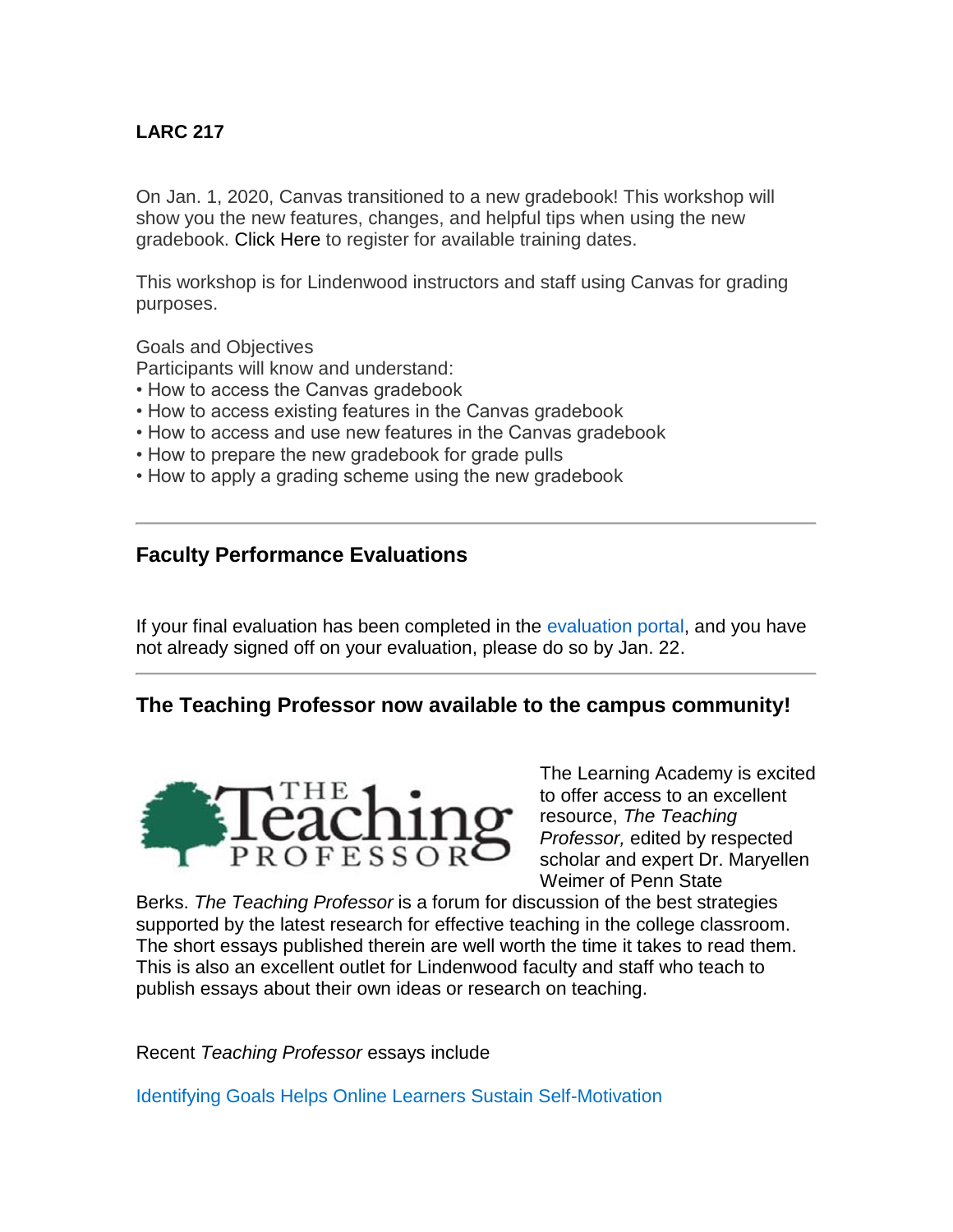#### **LARC 217**

On Jan. 1, 2020, Canvas transitioned to a new gradebook! This workshop will show you the new features, changes, and helpful tips when using the new gradebook. [Click Here](https://hes32-ctp.trendmicro.com/wis/clicktime/v1/query?url=https%3a%2f%2fcustapp.marketvolt.com%2flink%2fismnenG9FX%3fCM%3d1450150654%26X%3d70525052&umid=0b7a9669-2da6-45d9-8172-72a20eacd6f4&auth=bc7ac43e330fa629f0cfb11786c85e83c10d06b8-d7360ddabc0f998f7c566dea98e4ade2e824647f) to register for available training dates.

This workshop is for Lindenwood instructors and staff using Canvas for grading purposes.

Goals and Objectives

Participants will know and understand:

- How to access the Canvas gradebook
- How to access existing features in the Canvas gradebook
- How to access and use new features in the Canvas gradebook
- How to prepare the new gradebook for grade pulls
- How to apply a grading scheme using the new gradebook

#### **Faculty Performance Evaluations**

If your final evaluation has been completed in the [evaluation portal,](https://hes32-ctp.trendmicro.com/wis/clicktime/v1/query?url=https%3a%2f%2fcustapp.marketvolt.com%2flink%2fcHmrhWUgkK%3fCM%3d1450150654%26X%3d70525052&umid=0b7a9669-2da6-45d9-8172-72a20eacd6f4&auth=bc7ac43e330fa629f0cfb11786c85e83c10d06b8-c9f0c03b66636e027a6a695b6690b9f23133de08) and you have not already signed off on your evaluation, please do so by Jan. 22.

#### **The Teaching Professor now available to the campus community!**



The Learning Academy is excited to offer access to an excellent resource, *The Teaching Professor,* edited by respected scholar and expert Dr. Maryellen Weimer of Penn State

Berks. *The Teaching Professor* is a forum for discussion of the best strategies supported by the latest research for effective teaching in the college classroom. The short essays published therein are well worth the time it takes to read them. This is also an excellent outlet for Lindenwood faculty and staff who teach to publish essays about their own ideas or research on teaching.

Recent *Teaching Professor* essays include

[Identifying Goals Helps Online Learners Sustain Self-Motivation](https://hes32-ctp.trendmicro.com/wis/clicktime/v1/query?url=https%3a%2f%2fcustapp.marketvolt.com%2flink%2fqV5Qd8v7cr%3fCM%3d1450150654%26X%3d70525052&umid=0b7a9669-2da6-45d9-8172-72a20eacd6f4&auth=bc7ac43e330fa629f0cfb11786c85e83c10d06b8-85a2b08a14fa1dba92dd9a5d2e4d04ce4c946693)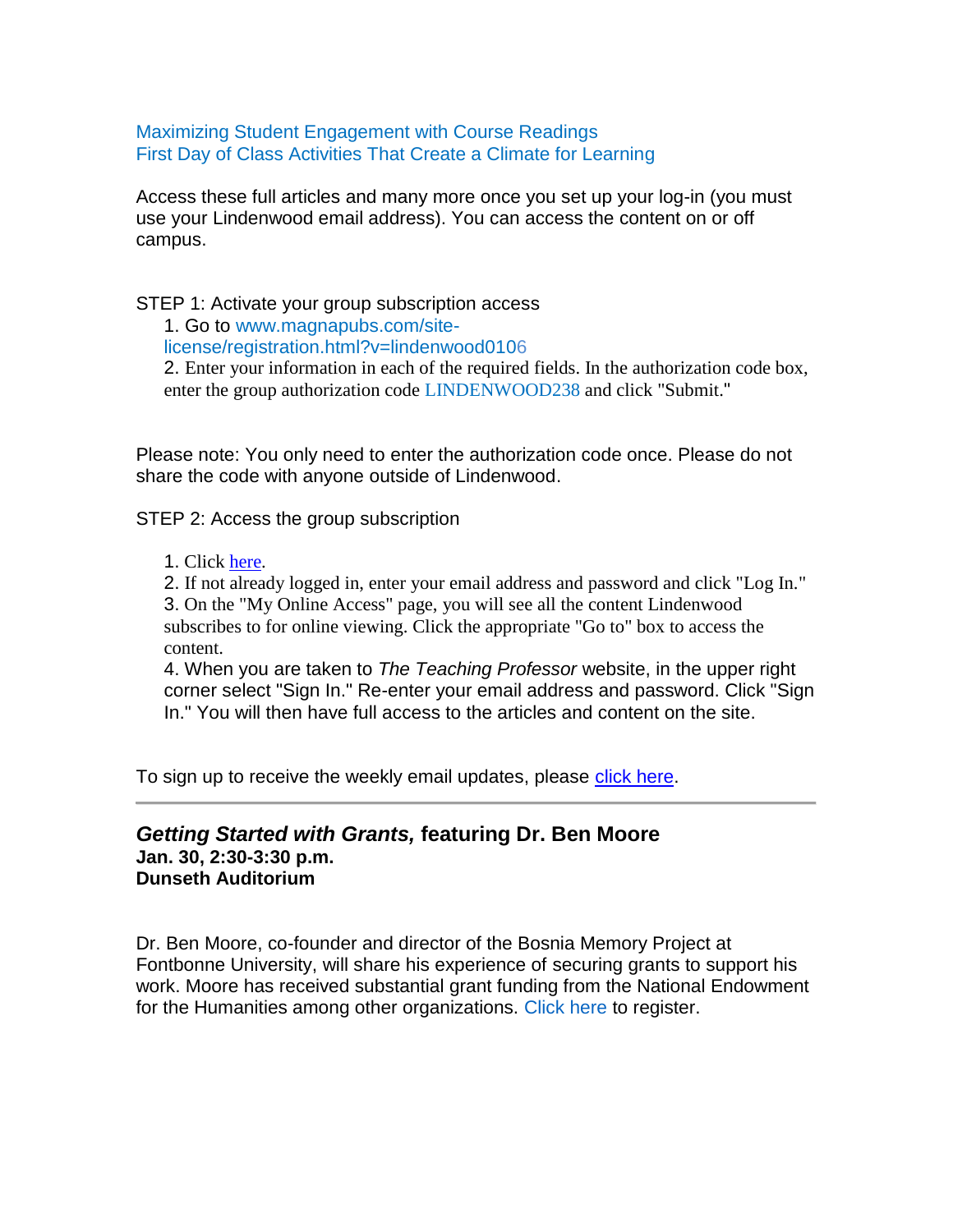[Maximizing Student Engagement with Course Readings](https://hes32-ctp.trendmicro.com/wis/clicktime/v1/query?url=https%3a%2f%2fcustapp.marketvolt.com%2flink%2fBr6XddSQND%3fCM%3d1450150654%26X%3d70525052&umid=0b7a9669-2da6-45d9-8172-72a20eacd6f4&auth=bc7ac43e330fa629f0cfb11786c85e83c10d06b8-69830ad1834b407eb7b65dc60dcdc67828ee0708) [First Day of Class Activities That Create a Climate for Learning](https://hes32-ctp.trendmicro.com/wis/clicktime/v1/query?url=https%3a%2f%2fcustapp.marketvolt.com%2flink%2fTGlS5hvffg%3fCM%3d1450150654%26X%3d70525052&umid=0b7a9669-2da6-45d9-8172-72a20eacd6f4&auth=bc7ac43e330fa629f0cfb11786c85e83c10d06b8-8b48a1eab3014174b654dd16cd069d490650d216)

Access these full articles and many more once you set up your log-in (you must use your Lindenwood email address). You can access the content on or off campus.

STEP 1: Activate your group subscription access

1. Go to [www.magnapubs.com/site-](https://hes32-ctp.trendmicro.com/wis/clicktime/v1/query?url=https%3a%2f%2fcustapp.marketvolt.com%2flink%2fHQTsYQvDGG%3fCM%3d1450150654%26X%3d70525052&umid=0b7a9669-2da6-45d9-8172-72a20eacd6f4&auth=bc7ac43e330fa629f0cfb11786c85e83c10d06b8-1777749a7e3a60ed106438689568b406472d1050)

[license/registration.html?v=lindenwood0106](https://hes32-ctp.trendmicro.com/wis/clicktime/v1/query?url=https%3a%2f%2fcustapp.marketvolt.com%2flink%2fHQTsYQvDGG%3fCM%3d1450150654%26X%3d70525052&umid=0b7a9669-2da6-45d9-8172-72a20eacd6f4&auth=bc7ac43e330fa629f0cfb11786c85e83c10d06b8-1777749a7e3a60ed106438689568b406472d1050)

2. Enter your information in each of the required fields. In the authorization code box, enter the group authorization code LINDENWOOD238 and click "Submit."

Please note: You only need to enter the authorization code once. Please do not share the code with anyone outside of Lindenwood.

STEP 2: Access the group subscription

1. Click [here.](https://hes32-ctp.trendmicro.com/wis/clicktime/v1/query?url=https%3a%2f%2fcustapp.marketvolt.com%2flink%2f6e3ykoPkh4%3fCM%3d1450150654%26X%3d70525052&umid=0b7a9669-2da6-45d9-8172-72a20eacd6f4&auth=bc7ac43e330fa629f0cfb11786c85e83c10d06b8-6db747fd6a8597ef8b6dc6921b4188792cdd71ce)

2. If not already logged in, enter your email address and password and click "Log In." 3. On the "My Online Access" page, you will see all the content Lindenwood subscribes to for online viewing. Click the appropriate "Go to" box to access the content.

4. When you are taken to *The Teaching Professor* website, in the upper right corner select "Sign In." Re-enter your email address and password. Click "Sign In." You will then have full access to the articles and content on the site.

To sign up to receive the weekly email updates, please [click here.](https://hes32-ctp.trendmicro.com/wis/clicktime/v1/query?url=https%3a%2f%2fcustapp.marketvolt.com%2flink%2f6y3roIvRC2%3fCM%3d1450150654%26X%3d70525052&umid=0b7a9669-2da6-45d9-8172-72a20eacd6f4&auth=bc7ac43e330fa629f0cfb11786c85e83c10d06b8-b4b50ca965ecc714335d23dae40048a0bfde4ce9)

#### *Getting Started with Grants,* **featuring Dr. Ben Moore Jan. 30, 2:30-3:30 p.m. Dunseth Auditorium**

Dr. Ben Moore, co-founder and director of the Bosnia Memory Project at Fontbonne University, will share his experience of securing grants to support his work. Moore has received substantial grant funding from the National Endowment for the Humanities among other organizations. [Click here](https://hes32-ctp.trendmicro.com/wis/clicktime/v1/query?url=https%3a%2f%2fcustapp.marketvolt.com%2flink%2fK2BnFqdv7B%3fCM%3d1450150654%26X%3d70525052&umid=0b7a9669-2da6-45d9-8172-72a20eacd6f4&auth=bc7ac43e330fa629f0cfb11786c85e83c10d06b8-b217d549fd3e3c8733a1d7b2a5e04f3bb86a0a24) to register.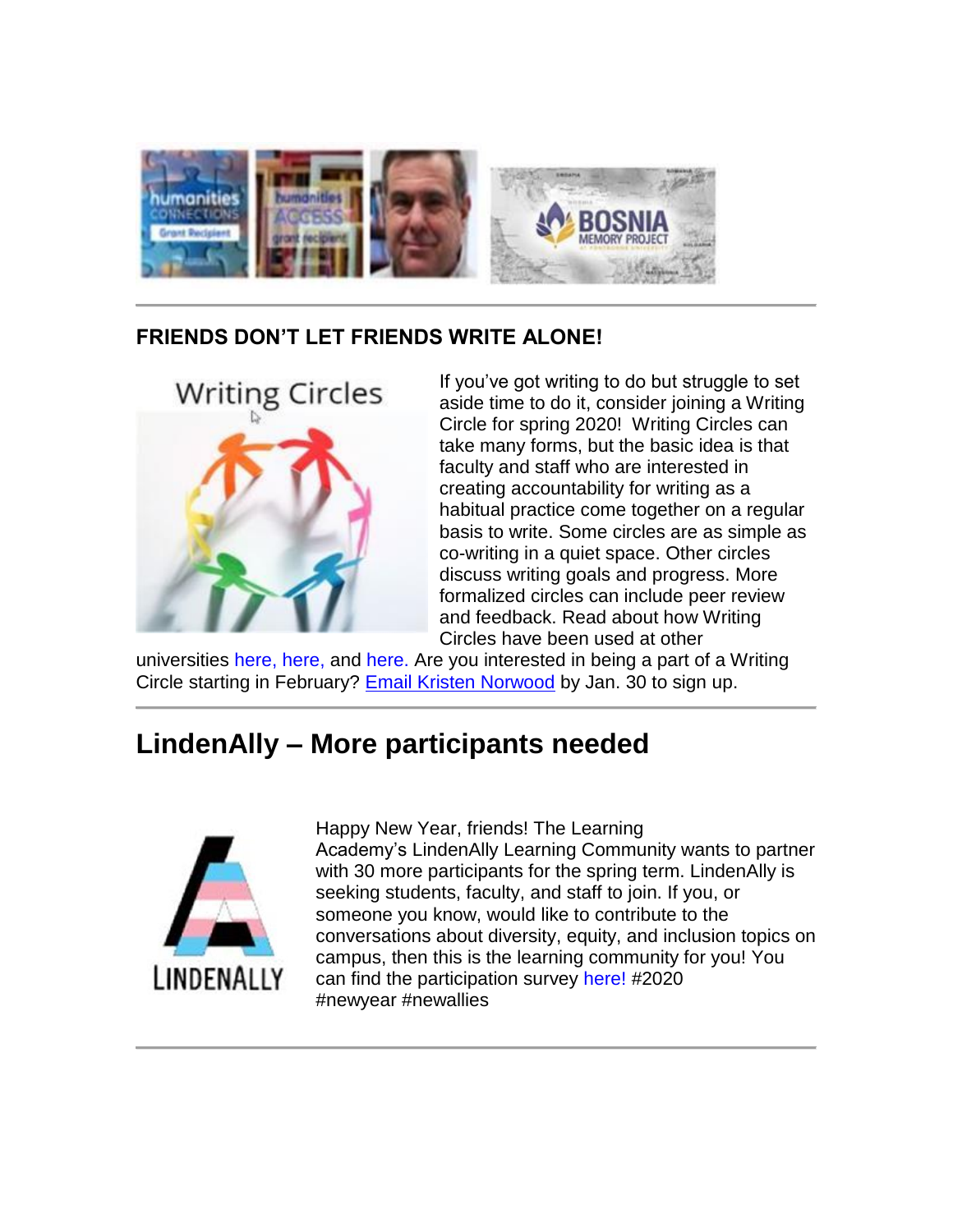

# **FRIENDS DON'T LET FRIENDS WRITE ALONE!**



If you've got writing to do but struggle to set aside time to do it, consider joining a Writing Circle for spring 2020! Writing Circles can take many forms, but the basic idea is that faculty and staff who are interested in creating accountability for writing as a habitual practice come together on a regular basis to write. Some circles are as simple as co-writing in a quiet space. Other circles discuss writing goals and progress. More formalized circles can include peer review and feedback. Read about how Writing Circles have been used at other

universities [here,](https://hes32-ctp.trendmicro.com/wis/clicktime/v1/query?url=https%3a%2f%2fcustapp.marketvolt.com%2flink%2fXqI9VTnh4W%3fCM%3d1450150654%26X%3d70525052&umid=0b7a9669-2da6-45d9-8172-72a20eacd6f4&auth=bc7ac43e330fa629f0cfb11786c85e83c10d06b8-25649aecbd278a718dc86b71e1bd1e6295b109a1) [here,](https://hes32-ctp.trendmicro.com/wis/clicktime/v1/query?url=https%3a%2f%2fcustapp.marketvolt.com%2flink%2fepw4tI4PoB%3fCM%3d1450150654%26X%3d70525052&umid=0b7a9669-2da6-45d9-8172-72a20eacd6f4&auth=bc7ac43e330fa629f0cfb11786c85e83c10d06b8-b1ecc3424fa32231cbf0c32b9310174f91a84328) and [here.](https://hes32-ctp.trendmicro.com/wis/clicktime/v1/query?url=https%3a%2f%2fcustapp.marketvolt.com%2flink%2f664YebxQgX%3fCM%3d1450150654%26X%3d70525052&umid=0b7a9669-2da6-45d9-8172-72a20eacd6f4&auth=bc7ac43e330fa629f0cfb11786c85e83c10d06b8-27de04f7fce91dd348c6d954f5807b7b9c235f09) Are you interested in being a part of a Writing Circle starting in February? [Email Kristen Norwood](mailto:knorwood@lindenwood.edu) by Jan. 30 to sign up.

# **LindenAlly – More participants needed**



Happy New Year, friends! The Learning Academy's LindenAlly Learning Community wants to partner with 30 more participants for the spring term. LindenAlly is seeking students, faculty, and staff to join. If you, or someone you know, would like to contribute to the conversations about diversity, equity, and inclusion topics on campus, then this is the learning community for you! You can find the participation survey [here!](https://hes32-ctp.trendmicro.com/wis/clicktime/v1/query?url=https%3a%2f%2fcustapp.marketvolt.com%2flink%2fFzYopEDh38%3fCM%3d1450150654%26X%3d70525052&umid=0b7a9669-2da6-45d9-8172-72a20eacd6f4&auth=bc7ac43e330fa629f0cfb11786c85e83c10d06b8-f1f3eeed8a5b1c38c1801b03b68aa9958f0d1ab6) #2020 #newyear #newallies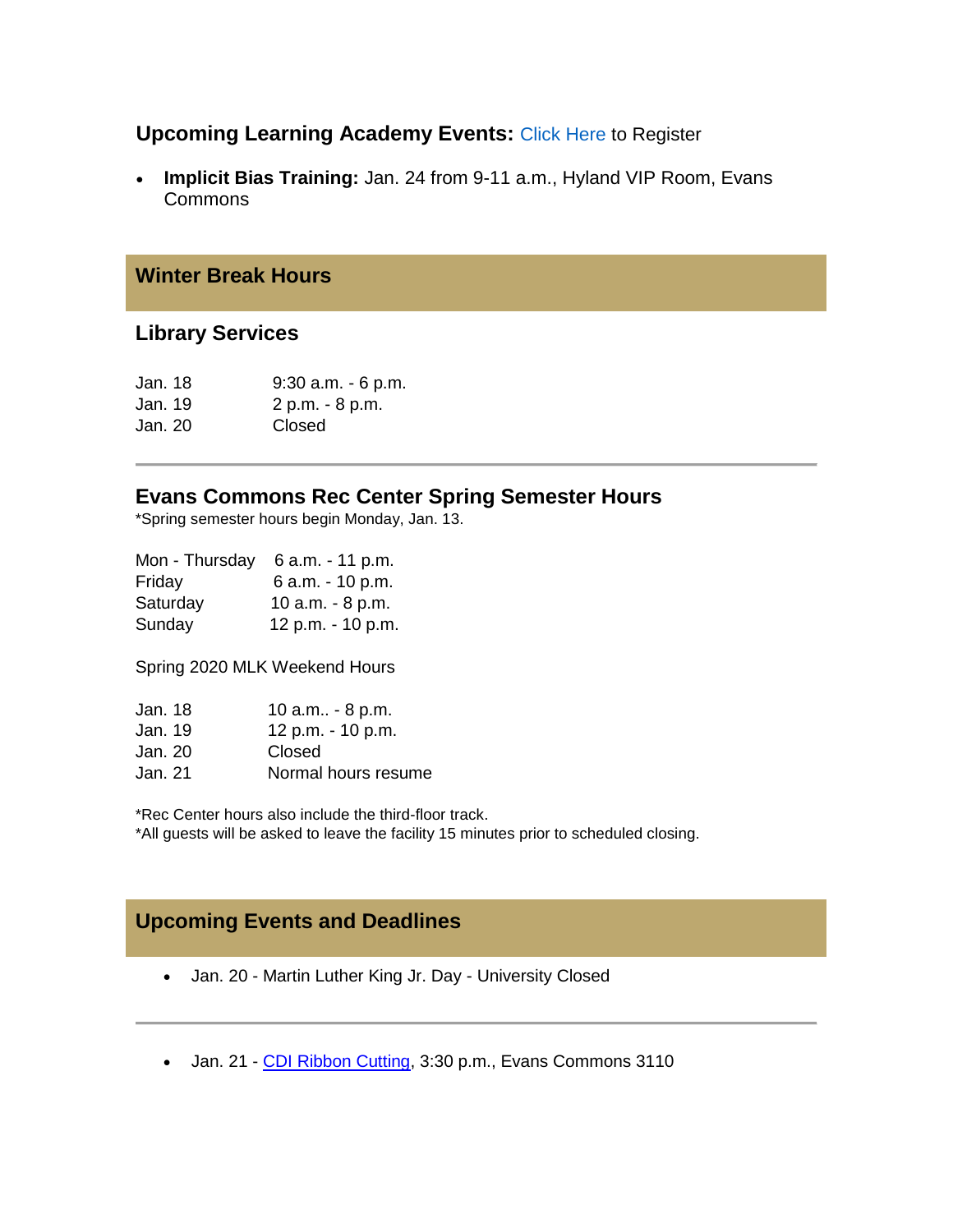#### **Upcoming Learning Academy Events:** [Click Here](https://hes32-ctp.trendmicro.com/wis/clicktime/v1/query?url=https%3a%2f%2fcustapp.marketvolt.com%2flink%2fismnenG9FX%3fCM%3d1450150654%26X%3d70525052&umid=0b7a9669-2da6-45d9-8172-72a20eacd6f4&auth=bc7ac43e330fa629f0cfb11786c85e83c10d06b8-d7360ddabc0f998f7c566dea98e4ade2e824647f) to Register

 **Implicit Bias Training:** Jan. 24 from 9-11 a.m., Hyland VIP Room, Evans Commons

#### **Winter Break Hours**

#### **Library Services**

| $9:30$ a.m. $-6$ p.m. |
|-----------------------|
| 2 p.m. - 8 p.m.       |
| Closed                |
|                       |

#### **Evans Commons Rec Center Spring Semester Hours**

\*Spring semester hours begin Monday, Jan. 13.

| 6 a.m. - 11 p.m.  |
|-------------------|
| 6 a.m. - 10 p.m.  |
| 10 a.m. - 8 p.m.  |
| 12 p.m. - 10 p.m. |
|                   |

Spring 2020 MLK Weekend Hours

| Jan. 18 | 10 a.m - 8 p.m.     |
|---------|---------------------|
| Jan. 19 | 12 p.m. - 10 p.m.   |
| Jan. 20 | Closed              |
| Jan. 21 | Normal hours resume |

\*Rec Center hours also include the third-floor track. \*All guests will be asked to leave the facility 15 minutes prior to scheduled closing.

# **Upcoming Events and Deadlines**

- Jan. 20 Martin Luther King Jr. Day University Closed
- Jan. 21 [CDI Ribbon Cutting,](https://hes32-ctp.trendmicro.com/wis/clicktime/v1/query?url=https%3a%2f%2fcustapp.marketvolt.com%2flink%2f8spufg7HUl%3fCM%3d1450150654%26X%3d70525052&umid=0b7a9669-2da6-45d9-8172-72a20eacd6f4&auth=bc7ac43e330fa629f0cfb11786c85e83c10d06b8-879900b6c33d432e79a2f0c3704872363fce309d) 3:30 p.m., Evans Commons 3110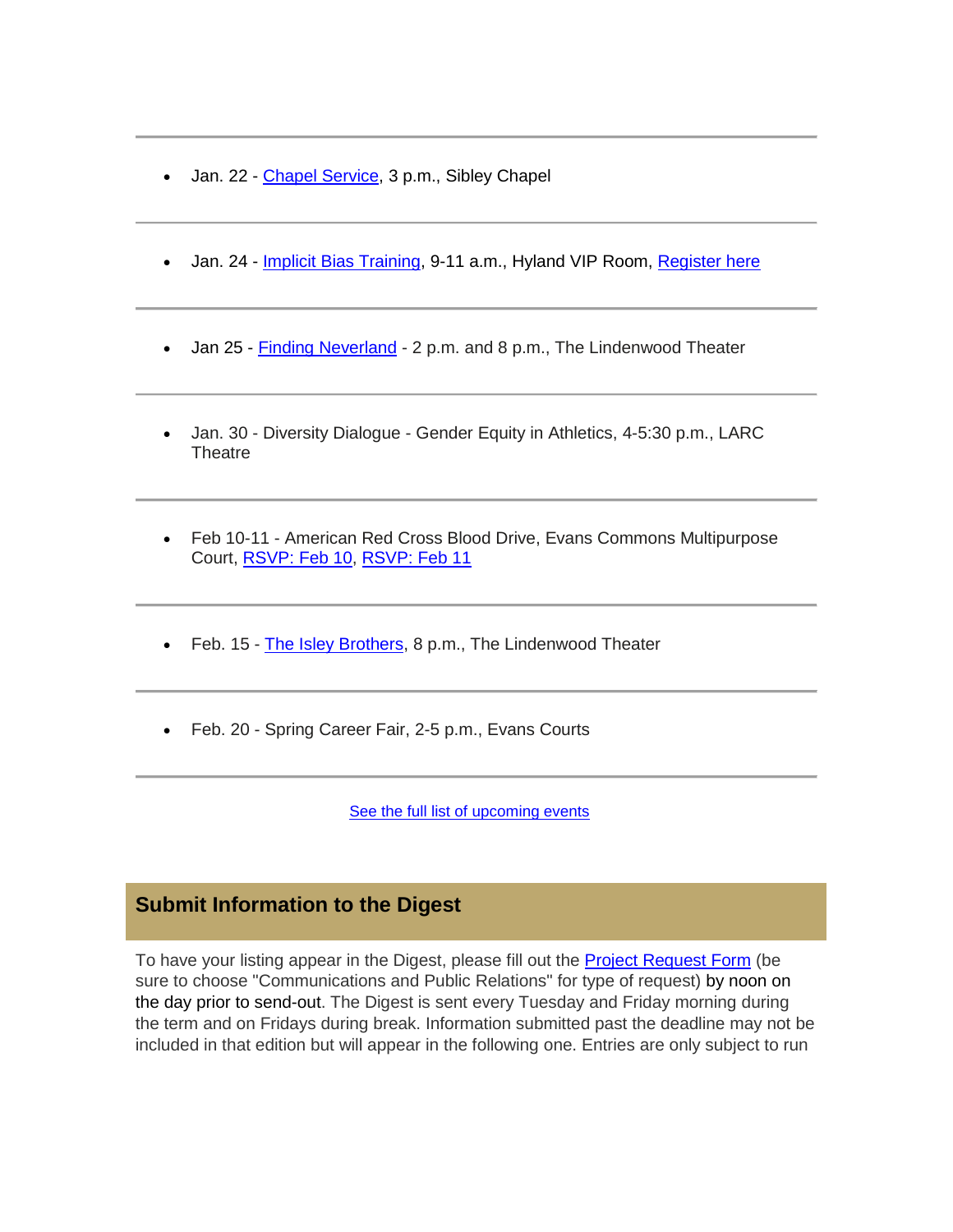- Jan. 22 [Chapel Service,](https://hes32-ctp.trendmicro.com/wis/clicktime/v1/query?url=https%3a%2f%2fcustapp.marketvolt.com%2flink%2fedpKCDVVQ7%3fCM%3d1450150654%26X%3d70525052&umid=0b7a9669-2da6-45d9-8172-72a20eacd6f4&auth=bc7ac43e330fa629f0cfb11786c85e83c10d06b8-9d4962bd2893d2629f1bc7f5ac0fa7898cad065a) 3 p.m., Sibley Chapel
- Jan. 24 [Implicit Bias Training,](https://hes32-ctp.trendmicro.com/wis/clicktime/v1/query?url=https%3a%2f%2fcustapp.marketvolt.com%2flink%2fwdN8c7hVAs%3fCM%3d1450150654%26X%3d70525052&umid=0b7a9669-2da6-45d9-8172-72a20eacd6f4&auth=bc7ac43e330fa629f0cfb11786c85e83c10d06b8-7fb05ba795de2b98bb9d483022eb567364b5f971) 9-11 a.m., Hyland VIP Room, [Register here](https://hes32-ctp.trendmicro.com/wis/clicktime/v1/query?url=https%3a%2f%2fcustapp.marketvolt.com%2flink%2fismnenG9FX%3fCM%3d1450150654%26X%3d70525052&umid=0b7a9669-2da6-45d9-8172-72a20eacd6f4&auth=bc7ac43e330fa629f0cfb11786c85e83c10d06b8-d7360ddabc0f998f7c566dea98e4ade2e824647f)
- Jan 25 [Finding Neverland](https://hes32-ctp.trendmicro.com/wis/clicktime/v1/query?url=https%3a%2f%2fcustapp.marketvolt.com%2flink%2ffdgiWAt21E%3fCM%3d1450150654%26X%3d70525052&umid=0b7a9669-2da6-45d9-8172-72a20eacd6f4&auth=bc7ac43e330fa629f0cfb11786c85e83c10d06b8-36466008e515fcd000ddc43a60fc9bbfea5db703) 2 p.m. and 8 p.m., The Lindenwood Theater
- Jan. 30 Diversity Dialogue Gender Equity in Athletics, 4-5:30 p.m., LARC **Theatre**
- Feb 10-11 American Red Cross Blood Drive, Evans Commons Multipurpose Court, [RSVP: Feb 10,](https://hes32-ctp.trendmicro.com/wis/clicktime/v1/query?url=https%3a%2f%2fcustapp.marketvolt.com%2flink%2f1ySXeUFVc2%3fCM%3d1450150654%26X%3d70525052&umid=0b7a9669-2da6-45d9-8172-72a20eacd6f4&auth=bc7ac43e330fa629f0cfb11786c85e83c10d06b8-4af86d35ffbe77022676c7310a9e173c9a6f530c) [RSVP: Feb 11](https://hes32-ctp.trendmicro.com/wis/clicktime/v1/query?url=https%3a%2f%2fcustapp.marketvolt.com%2flink%2fIf6igAT24e%3fCM%3d1450150654%26X%3d70525052&umid=0b7a9669-2da6-45d9-8172-72a20eacd6f4&auth=bc7ac43e330fa629f0cfb11786c85e83c10d06b8-df2946b2090677c86391bd7cda8ef2caa9ebb3a6)
- Feb. 15 [The Isley Brothers,](https://hes32-ctp.trendmicro.com/wis/clicktime/v1/query?url=https%3a%2f%2fcustapp.marketvolt.com%2flink%2fWlMhiBF8GL%3fCM%3d1450150654%26X%3d70525052&umid=0b7a9669-2da6-45d9-8172-72a20eacd6f4&auth=bc7ac43e330fa629f0cfb11786c85e83c10d06b8-c30a01acf3941c5e578df1fd973dc696768464c8) 8 p.m., The Lindenwood Theater
- Feb. 20 Spring Career Fair, 2-5 p.m., Evans Courts

[See the full list of upcoming events](https://hes32-ctp.trendmicro.com/wis/clicktime/v1/query?url=https%3a%2f%2fcustapp.marketvolt.com%2flink%2f2G8HlCNbRG%3fCM%3d1450150654%26X%3d70525052&umid=0b7a9669-2da6-45d9-8172-72a20eacd6f4&auth=bc7ac43e330fa629f0cfb11786c85e83c10d06b8-c556a975fe87aa5298f5c54ff8e4356a0fa9fa13)

#### **Submit Information to the Digest**

To have your listing appear in the Digest, please fill out the [Project Request Form](https://hes32-ctp.trendmicro.com/wis/clicktime/v1/query?url=https%3a%2f%2fcustapp.marketvolt.com%2flink%2fwg6lyIDEmw%3fCM%3d1450150654%26X%3d70525052&umid=0b7a9669-2da6-45d9-8172-72a20eacd6f4&auth=bc7ac43e330fa629f0cfb11786c85e83c10d06b8-ec5a631d10f2385e1db1131fa203abd37055e39e) (be sure to choose "Communications and Public Relations" for type of request) by noon on the day prior to send-out. The Digest is sent every Tuesday and Friday morning during the term and on Fridays during break. Information submitted past the deadline may not be included in that edition but will appear in the following one. Entries are only subject to run